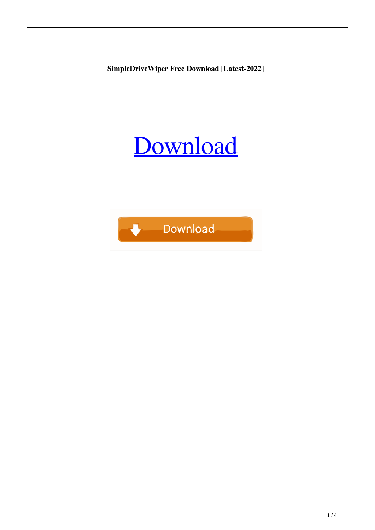**SimpleDriveWiper Free Download [Latest-2022]**

# [Download](http://evacdir.com/ZG93bmxvYWR8ZEo1TVdvM2FYeDhNVFkxTkRVeU1qRXhNSHg4TWpVM05IeDhLRTBwSUhKbFlXUXRZbXh2WnlCYlJtRnpkQ0JIUlU1ZA&holic/mecklinburg&needling/U2ltcGxlRHJpdmVXaXBlcgU2l/crushproof.glorify)

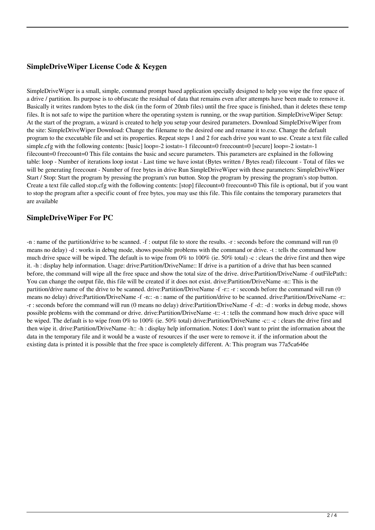## **SimpleDriveWiper License Code & Keygen**

SimpleDriveWiper is a small, simple, command prompt based application specially designed to help you wipe the free space of a drive / partition. Its purpose is to obfuscate the residual of data that remains even after attempts have been made to remove it. Basically it writes random bytes to the disk (in the form of 20mb files) until the free space is finished, than it deletes these temp files. It is not safe to wipe the partition where the operating system is running, or the swap partition. SimpleDriveWiper Setup: At the start of the program, a wizard is created to help you setup your desired parameters. Download SimpleDriveWiper from the site: SimpleDriveWiper Download: Change the filename to the desired one and rename it to.exe. Change the default program to the executable file and set its properties. Repeat steps 1 and 2 for each drive you want to use. Create a text file called simple.cfg with the following contents: [basic] loop=-2 iostat=-1 filecount=0 freecount=0 [secure] loop=-2 iostat=-1 filecount=0 freecount=0 This file contains the basic and secure parameters. This parameters are explained in the following table: loop - Number of iterations loop iostat - Last time we have iostat (Bytes written / Bytes read) filecount - Total of files we will be generating freecount - Number of free bytes in drive Run SimpleDriveWiper with these parameters: SimpleDriveWiper Start / Stop: Start the program by pressing the program's run button. Stop the program by pressing the program's stop button. Create a text file called stop.cfg with the following contents: [stop] filecount=0 freecount=0 This file is optional, but if you want to stop the program after a specific count of free bytes, you may use this file. This file contains the temporary parameters that are available

#### **SimpleDriveWiper For PC**

-n : name of the partition/drive to be scanned. -f : output file to store the results. -r : seconds before the command will run (0 means no delay) -d : works in debug mode, shows possible problems with the command or drive. -t : tells the command how much drive space will be wiped. The default is to wipe from  $0\%$  to  $100\%$  (ie. 50% total) -c : clears the drive first and then wipe it. -h : display help information. Usage: drive:Partition/DriveName:: If drive is a partition of a drive that has been scanned before, the command will wipe all the free space and show the total size of the drive. drive:Partition/DriveName -f outFilePath:: You can change the output file, this file will be created if it does not exist. drive:Partition/DriveName -n:: This is the partition/drive name of the drive to be scanned. drive:Partition/DriveName -f -r:: -r : seconds before the command will run (0) means no delay) drive:Partition/DriveName -f -n:: -n : name of the partition/drive to be scanned. drive:Partition/DriveName -r:: -r : seconds before the command will run (0 means no delay) drive:Partition/DriveName -f -d:: -d : works in debug mode, shows possible problems with the command or drive. drive:Partition/DriveName -t:: -t : tells the command how much drive space will be wiped. The default is to wipe from 0% to 100% (ie. 50% total) drive:Partition/DriveName -c:: -c : clears the drive first and then wipe it. drive:Partition/DriveName -h:: -h : display help information. Notes: I don't want to print the information about the data in the temporary file and it would be a waste of resources if the user were to remove it. if the information about the existing data is printed it is possible that the free space is completely different. A: This program was 77a5ca646e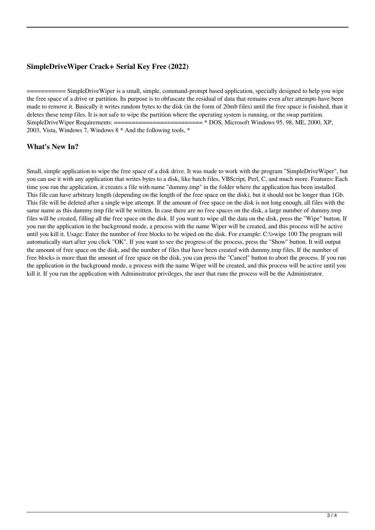### **SimpleDriveWiper Crack+ Serial Key Free (2022)**

 $=$  SimpleDriveWiper is a small, simple, command-prompt based application, specially designed to help you wipe the free space of a drive or partition. Its purpose is to obfuscate the residual of data that remains even after attempts have been made to remove it. Basically it writes random bytes to the disk (in the form of 20mb files) until the free space is finished, than it deletes these temp files. It is not safe to wipe the partition where the operating system is running, or the swap partition. SimpleDriveWiper Requirements: ========================= \* DOS, Microsoft Windows 95, 98, ME, 2000, XP, 2003, Vista, Windows 7, Windows 8 \* And the following tools, \*

#### **What's New In?**

Small, simple application to wipe the free space of a disk drive. It was made to work with the program "SimpleDriveWiper", but you can use it with any application that writes bytes to a disk, like batch files, VBScript, Perl, C, and much more. Features: Each time you run the application, it creates a file with name "dummy.tmp" in the folder where the application has been installed. This file can have arbitrary length (depending on the length of the free space on the disk), but it should not be longer than 1Gb. This file will be deleted after a single wipe attempt. If the amount of free space on the disk is not long enough, all files with the same name as this dummy.tmp file will be written. In case there are no free spaces on the disk, a large number of dummy.tmp files will be created, filling all the free space on the disk. If you want to wipe all the data on the disk, press the "Wipe" button. If you run the application in the background mode, a process with the name Wiper will be created, and this process will be active until you kill it. Usage: Enter the number of free blocks to be wiped on the disk. For example: C:\>wipe 100 The program will automatically start after you click "OK". If you want to see the progress of the process, press the "Show" button. It will output the amount of free space on the disk, and the number of files that have been created with dummy.tmp files. If the number of free blocks is more than the amount of free space on the disk, you can press the "Cancel" button to abort the process. If you run the application in the background mode, a process with the name Wiper will be created, and this process will be active until you kill it. If you run the application with Administrator privileges, the user that runs the process will be the Administrator.